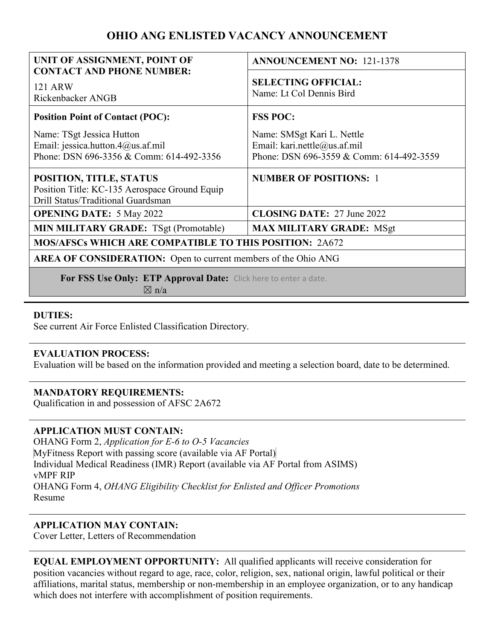# **OHIO ANG ENLISTED VACANCY ANNOUNCEMENT**

| UNIT OF ASSIGNMENT, POINT OF                                                                                   | <b>ANNOUNCEMENT NO: 121-1378</b>                                                                       |
|----------------------------------------------------------------------------------------------------------------|--------------------------------------------------------------------------------------------------------|
| <b>CONTACT AND PHONE NUMBER:</b><br>121 ARW<br>Rickenbacker ANGB                                               | <b>SELECTING OFFICIAL:</b><br>Name: Lt Col Dennis Bird                                                 |
| <b>Position Point of Contact (POC):</b>                                                                        | <b>FSS POC:</b>                                                                                        |
| Name: TSgt Jessica Hutton<br>Email: jessica.hutton.4@us.af.mil<br>Phone: DSN 696-3356 & Comm: 614-492-3356     | Name: SMSgt Kari L. Nettle<br>Email: kari.nettle@us.af.mil<br>Phone: DSN 696-3559 & Comm: 614-492-3559 |
| POSITION, TITLE, STATUS<br>Position Title: KC-135 Aerospace Ground Equip<br>Drill Status/Traditional Guardsman | <b>NUMBER OF POSITIONS: 1</b>                                                                          |
| <b>OPENING DATE: 5 May 2022</b>                                                                                | <b>CLOSING DATE: 27 June 2022</b>                                                                      |
| <b>MIN MILITARY GRADE: TSgt (Promotable)</b>                                                                   | <b>MAX MILITARY GRADE: MSgt</b>                                                                        |
| <b>MOS/AFSCs WHICH ARE COMPATIBLE TO THIS POSITION: 2A672</b>                                                  |                                                                                                        |
| <b>AREA OF CONSIDERATION:</b> Open to current members of the Ohio ANG                                          |                                                                                                        |
| For FSS Use Only: ETP Approval Date: Click here to enter a date.<br>$\boxtimes$ n/a                            |                                                                                                        |

## **DUTIES:**

See current Air Force Enlisted Classification Directory.

## **EVALUATION PROCESS:**

Evaluation will be based on the information provided and meeting a selection board, date to be determined.

## **MANDATORY REQUIREMENTS:**

Qualification in and possession of AFSC 2A672

## **APPLICATION MUST CONTAIN:**

OHANG Form 2, *Application for E-6 to O-5 Vacancies* MyFitness Report with passing score (available via AF Portal) Individual Medical Readiness (IMR) Report (available via AF Portal from ASIMS) vMPF RIP OHANG Form 4, *OHANG Eligibility Checklist for Enlisted and Officer Promotions* Resume

## **APPLICATION MAY CONTAIN:**

Cover Letter, Letters of Recommendation

| <b>EQUAL EMPLOYMENT OPPORTUNITY:</b> All qualified applicants will receive consideration for                     |
|------------------------------------------------------------------------------------------------------------------|
| position vacancies without regard to age, race, color, religion, sex, national origin, lawful political or their |
| affiliations, marital status, membership or non-membership in an employee organization, or to any handicap       |
| which does not interfere with accomplishment of position requirements.                                           |